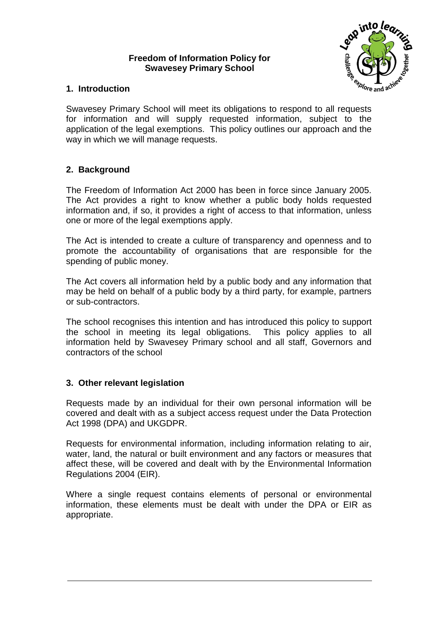### **Freedom of Information Policy for Swavesey Primary School**



# **1. Introduction**

Swavesey Primary School will meet its obligations to respond to all requests for information and will supply requested information, subject to the application of the legal exemptions. This policy outlines our approach and the way in which we will manage requests.

# **2. Background**

The Freedom of Information Act 2000 has been in force since January 2005. The Act provides a right to know whether a public body holds requested information and, if so, it provides a right of access to that information, unless one or more of the legal exemptions apply.

The Act is intended to create a culture of transparency and openness and to promote the accountability of organisations that are responsible for the spending of public money.

The Act covers all information held by a public body and any information that may be held on behalf of a public body by a third party, for example, partners or sub-contractors.

The school recognises this intention and has introduced this policy to support the school in meeting its legal obligations. This policy applies to all information held by Swavesey Primary school and all staff, Governors and contractors of the school

## **3. Other relevant legislation**

Requests made by an individual for their own personal information will be covered and dealt with as a subject access request under the Data Protection Act 1998 (DPA) and UKGDPR.

Requests for environmental information, including information relating to air, water, land, the natural or built environment and any factors or measures that affect these, will be covered and dealt with by the Environmental Information Regulations 2004 (EIR).

Where a single request contains elements of personal or environmental information, these elements must be dealt with under the DPA or EIR as appropriate.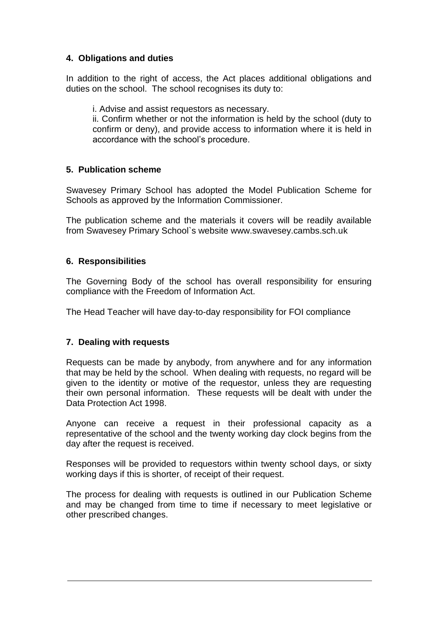## **4. Obligations and duties**

In addition to the right of access, the Act places additional obligations and duties on the school. The school recognises its duty to:

i. Advise and assist requestors as necessary.

ii. Confirm whether or not the information is held by the school (duty to confirm or deny), and provide access to information where it is held in accordance with the school's procedure.

### **5. Publication scheme**

Swavesey Primary School has adopted the Model Publication Scheme for Schools as approved by the Information Commissioner.

The publication scheme and the materials it covers will be readily available from Swavesey Primary School`s website www.swavesey.cambs.sch.uk

### **6. Responsibilities**

The Governing Body of the school has overall responsibility for ensuring compliance with the Freedom of Information Act.

The Head Teacher will have day-to-day responsibility for FOI compliance

#### **7. Dealing with requests**

Requests can be made by anybody, from anywhere and for any information that may be held by the school. When dealing with requests, no regard will be given to the identity or motive of the requestor, unless they are requesting their own personal information. These requests will be dealt with under the Data Protection Act 1998.

Anyone can receive a request in their professional capacity as a representative of the school and the twenty working day clock begins from the day after the request is received.

Responses will be provided to requestors within twenty school days, or sixty working days if this is shorter, of receipt of their request.

The process for dealing with requests is outlined in our Publication Scheme and may be changed from time to time if necessary to meet legislative or other prescribed changes.